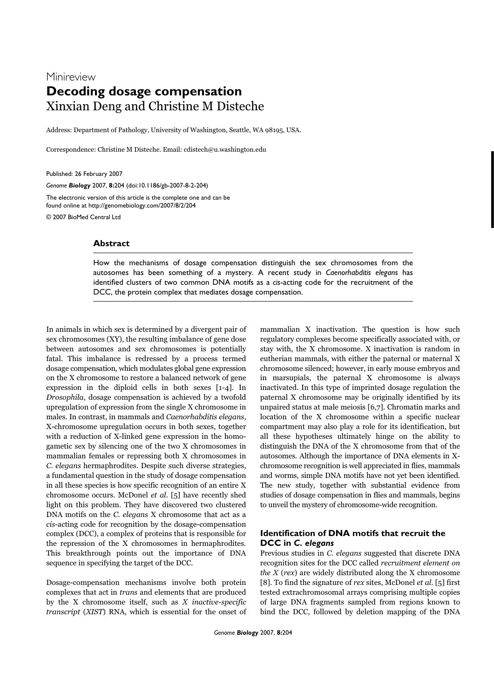# Minireview **Decoding dosage compensation** Xinxian Deng and Christine M Disteche

Address: Department of Pathology, University of Washington, Seattle, WA 98195, USA.

Correspondence: Christine M Disteche. Email: cdistech@u.washington.edu

Published: 26 February 2007

*Genome Biology* 2007, **8:**204 (doi:10.1186/gb-2007-8-2-204)

The electronic version of this article is the complete one and can be found online at http://genomebiology.com/2007/8/2/204

© 2007 BioMed Central Ltd

#### **Abstract**

How the mechanisms of dosage compensation distinguish the sex chromosomes from the autosomes has been something of a mystery. A recent study in *Caenorhabditis elegans* has identified clusters of two common DNA motifs as a *cis*-acting code for the recruitment of the DCC, the protein complex that mediates dosage compensation.

In animals in which sex is determined by a divergent pair of sex chromosomes (XY), the resulting imbalance of gene dose between autosomes and sex chromosomes is potentially fatal. This imbalance is redressed by a process termed dosage compensation, which modulates global gene expression on the X chromosome to restore a balanced network of gene expression in the diploid cells in both sexes [1-4]. In Drosophila, dosage compensation is achieved by a twofold upregulation of expression from the single X chromosome in males. In contrast, in mammals and Caenorhabditis elegans, X-chromosome upregulation occurs in both sexes, together with a reduction of X-linked gene expression in the homogametic sex by silencing one of the two X chromosomes in mammalian females or repressing both X chromosomes in C. elegans hermaphrodites. Despite such diverse strategies, a fundamental question in the study of dosage compensation in all these species is how specific recognition of an entire  $X$ chromosome occurs. McDonel et al. [5] have recently shed light on this problem. They have discovered two clustered DNA motifs on the C. elegans X chromosome that act as a cis-acting code for recognition by the dosage-compensation complex (DCC), a complex of proteins that is responsible for the repression of the X chromosomes in hermaphrodites. This breakthrough points out the importance of DNA sequence in specifying the target of the DCC.

Dosage-compensation mechanisms involve both protein complexes that act in trans and elements that are produced by the  $X$  chromosome itself, such as  $X$  inactive-specific transcript (XIST) RNA, which is essential for the onset of mammalian X inactivation. The question is how such regulatory complexes become specifically associated with, or stay with, the X chromosome. X inactivation is random in eutherian mammals, with either the paternal or maternal X chromosome silenced; however, in early mouse embryos and in marsupials, the paternal X chromosome is always inactivated. In this type of imprinted dosage regulation the paternal X chromosome may be originally identified by its unpaired status at male meiosis [6,7]. Chromatin marks and location of the X chromosome within a specific nuclear compartment may also play a role for its identification, but all these hypotheses ultimately hinge on the ability to distinguish the DNA of the X chromosome from that of the autosomes. Although the importance of DNA elements in Xchromosome recognition is well appreciated in flies, mammals and worms, simple DNA motifs have not yet been identified. The new study, together with substantial evidence from studies of dosage compensation in flies and mammals, begins to unveil the mystery of chromosome-wide recognition.

## **Identification of DNA motifs that recruit the DCC in** *C. elegans*

Previous studies in C. elegans suggested that discrete DNA recognition sites for the DCC called recruitment element on the  $X$  (rex) are widely distributed along the  $X$  chromosome [8]. To find the signature of rex sites, McDonel et al. [5] first tested extrachromosomal arrays comprising multiple copies of large DNA fragments sampled from regions known to bind the DCC, followed by deletion mapping of the DNA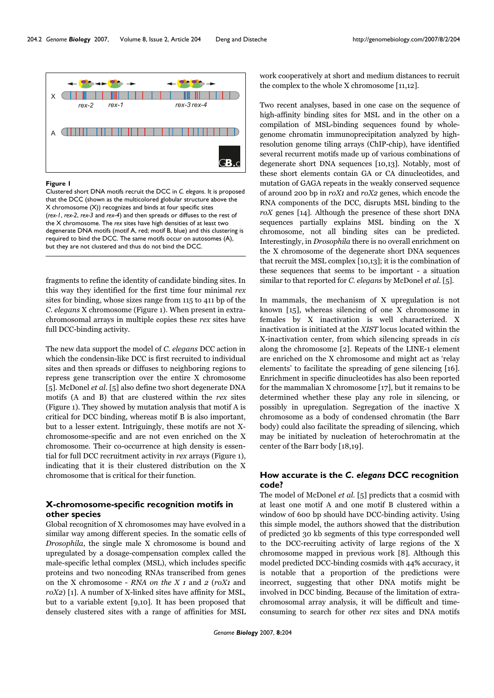

#### **Figure 1**

Clustered short DNA motifs recruit the DCC in *C. elegans*. It is proposed that the DCC (shown as the multicolored globular structure above the X chromosome (X)) recognizes and binds at four specific sites (*rex-1*, *rex-2*, *rex-3* and *rex-4*) and then spreads or diffuses to the rest of the X chromosome. The *rex* sites have high densities of at least two degenerate DNA motifs (motif A, red; motif B, blue) and this clustering is required to bind the DCC. The same motifs occur on autosomes (A), but they are not clustered and thus do not bind the DCC.

fragments to refine the identity of candidate binding sites. In this way they identified for the first time four minimal rex sites for binding, whose sizes range from 115 to 411 bp of the C. elegans X chromosome (Figure 1). When present in extrachromosomal arrays in multiple copies these rex sites have full DCC-binding activity.

The new data support the model of C. elegans DCC action in which the condensin-like DCC is first recruited to individual sites and then spreads or diffuses to neighboring regions to repress gene transcription over the entire X chromosome [5]. McDonel et al. [5] also define two short degenerate DNA motifs (A and B) that are clustered within the rex sites (Figure 1). They showed by mutation analysis that motif A is critical for DCC binding, whereas motif B is also important, but to a lesser extent. Intriguingly, these motifs are not Xchromosome-specific and are not even enriched on the X chromosome. Their co-occurrence at high density is essential for full DCC recruitment activity in rex arrays (Figure 1), indicating that it is their clustered distribution on the X chromosome that is critical for their function.

### **X-chromosome-specific recognition motifs in other species**

Global recognition of X chromosomes may have evolved in a similar way among different species. In the somatic cells of Drosophila, the single male X chromosome is bound and upregulated by a dosage-compensation complex called the male-specific lethal complex (MSL), which includes specific proteins and two noncoding RNAs transcribed from genes on the X chromosome -  $RNA$  on the X 1 and 2 ( $roX1$  and  $roX2$ ) [1]. A number of X-linked sites have affinity for MSL, but to a variable extent [9,10]. It has been proposed that densely clustered sites with a range of affinities for MSL

work cooperatively at short and medium distances to recruit the complex to the whole X chromosome [11,12].

Two recent analyses, based in one case on the sequence of high-affinity binding sites for MSL and in the other on a compilation of MSL-binding sequences found by wholegenome chromatin immunoprecipitation analyzed by highresolution genome tiling arrays (ChIP-chip), have identified several recurrent motifs made up of various combinations of degenerate short DNA sequences [10,13]. Notably, most of these short elements contain GA or CA dinucleotides, and mutation of GAGA repeats in the weakly conserved sequence of around 200 bp in  $roX1$  and  $roX2$  genes, which encode the RNA components of the DCC, disrupts MSL binding to the roX genes [14]. Although the presence of these short DNA sequences partially explains MSL binding on the X chromosome, not all binding sites can be predicted. Interestingly, in Drosophila there is no overall enrichment on the X chromosome of the degenerate short DNA sequences that recruit the MSL complex [10,13]; it is the combination of these sequences that seems to be important - a situation similar to that reported for *C. elegans* by McDonel *et al.* [5].

In mammals, the mechanism of X upregulation is not known [15], whereas silencing of one X chromosome in females by X inactivation is well characterized. X inactivation is initiated at the XIST locus located within the X-inactivation center, from which silencing spreads in cis along the chromosome [2]. Repeats of the LINE-1 element are enriched on the X chromosome and might act as 'relay elements' to facilitate the spreading of gene silencing [16]. Enrichment in specific dinucleotides has also been reported for the mammalian X chromosome [17], but it remains to be determined whether these play any role in silencing, or possibly in upregulation. Segregation of the inactive X chromosome as a body of condensed chromatin (the Barr body) could also facilitate the spreading of silencing, which may be initiated by nucleation of heterochromatin at the center of the Barr body [18,19].

## **How accurate is the** *C. elegans* **DCC recognition code?**

The model of McDonel et al. [5] predicts that a cosmid with at least one motif A and one motif B clustered within a window of 600 bp should have DCC-binding activity. Using this simple model, the authors showed that the distribution of predicted 30 kb segments of this type corresponded well to the DCC-recruiting activity of large regions of the X chromosome mapped in previous work [8]. Although this model predicted DCC-binding cosmids with 44% accuracy, it is notable that a proportion of the predictions were incorrect, suggesting that other DNA motifs might be involved in DCC binding. Because of the limitation of extrachromosomal array analysis, it will be difficult and timeconsuming to search for other rex sites and DNA motifs